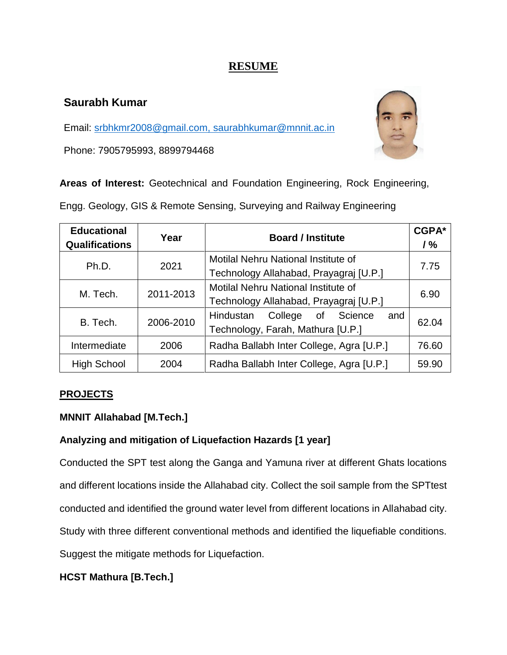# **RESUME**

## **Saurabh Kumar**

Email: [srbhkmr2008@gmail.com,](mailto:srbhkmr2008@gmail.com) saurabhkumar@mnnit.ac.in

Phone: 7905795993, 8899794468



**Areas of Interest:** Geotechnical and Foundation Engineering, Rock Engineering,

Engg. Geology, GIS & Remote Sensing, Surveying and Railway Engineering

| <b>Educational</b><br><b>Qualifications</b> | Year      | <b>Board / Institute</b>                 | CGPA*<br>1% |
|---------------------------------------------|-----------|------------------------------------------|-------------|
| Ph.D.                                       | 2021      | Motilal Nehru National Institute of      | 7.75        |
|                                             |           | Technology Allahabad, Prayagraj [U.P.]   |             |
| M. Tech.                                    | 2011-2013 | Motilal Nehru National Institute of      | 6.90        |
|                                             |           | Technology Allahabad, Prayagraj [U.P.]   |             |
| B. Tech.                                    | 2006-2010 | College of Science<br>Hindustan<br>and   | 62.04       |
|                                             |           | Technology, Farah, Mathura [U.P.]        |             |
| Intermediate                                | 2006      | Radha Ballabh Inter College, Agra [U.P.] | 76.60       |
| <b>High School</b>                          | 2004      | Radha Ballabh Inter College, Agra [U.P.] | 59.90       |

### **PROJECTS**

### **MNNIT Allahabad [M.Tech.]**

## **Analyzing and mitigation of Liquefaction Hazards [1 year]**

Conducted the SPT test along the Ganga and Yamuna river at different Ghats locations and different locations inside the Allahabad city. Collect the soil sample from the SPTtest conducted and identified the ground water level from different locations in Allahabad city. Study with three different conventional methods and identified the liquefiable conditions. Suggest the mitigate methods for Liquefaction.

### **HCST Mathura [B.Tech.]**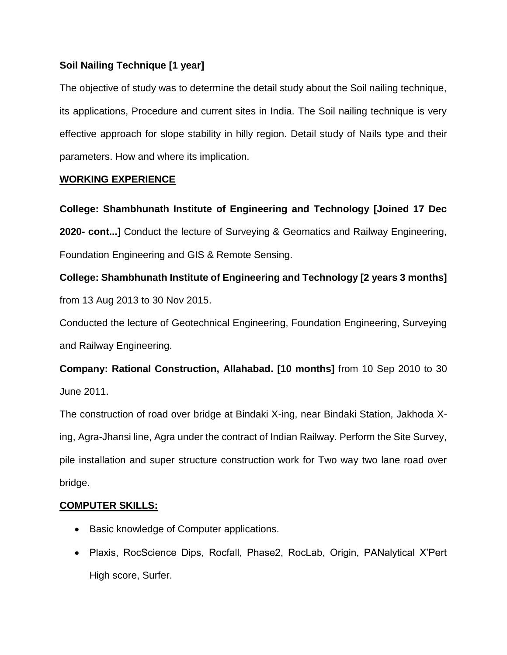### **Soil Nailing Technique [1 year]**

The objective of study was to determine the detail study about the Soil nailing technique, its applications, Procedure and current sites in India. The Soil nailing technique is very effective approach for slope stability in hilly region. Detail study of Nails type and their parameters. How and where its implication.

#### **WORKING EXPERIENCE**

**College: Shambhunath Institute of Engineering and Technology [Joined 17 Dec 2020- cont...]** Conduct the lecture of Surveying & Geomatics and Railway Engineering, Foundation Engineering and GIS & Remote Sensing.

**College: Shambhunath Institute of Engineering and Technology [2 years 3 months]**  from 13 Aug 2013 to 30 Nov 2015.

Conducted the lecture of Geotechnical Engineering, Foundation Engineering, Surveying and Railway Engineering.

**Company: Rational Construction, Allahabad. [10 months]** from 10 Sep 2010 to 30 June 2011.

The construction of road over bridge at Bindaki X-ing, near Bindaki Station, Jakhoda Xing, Agra-Jhansi line, Agra under the contract of Indian Railway. Perform the Site Survey, pile installation and super structure construction work for Two way two lane road over bridge.

### **COMPUTER SKILLS:**

- Basic knowledge of Computer applications.
- Plaxis, RocScience Dips, Rocfall, Phase2, RocLab, Origin, PANalytical X'Pert High score, Surfer.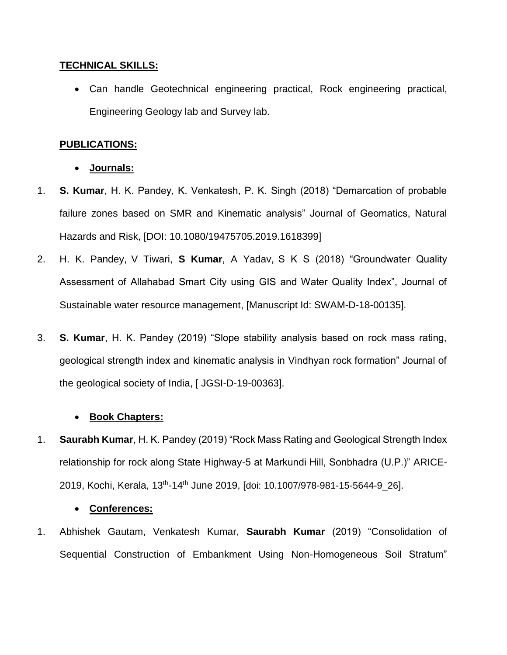#### **TECHNICAL SKILLS:**

 Can handle Geotechnical engineering practical, Rock engineering practical, Engineering Geology lab and Survey lab.

#### **PUBLICATIONS:**

- **Journals:**
- 1. **S. Kumar**, H. K. Pandey, K. Venkatesh, P. K. Singh (2018) "Demarcation of probable failure zones based on SMR and Kinematic analysis" Journal of Geomatics, Natural Hazards and Risk, [DOI: 10.1080/19475705.2019.1618399]
- 2. H. K. Pandey, V Tiwari, **S Kumar**, A Yadav, S K S (2018) "Groundwater Quality Assessment of Allahabad Smart City using GIS and Water Quality Index", Journal of Sustainable water resource management, [Manuscript Id: SWAM-D-18-00135].
- 3. **S. Kumar**, H. K. Pandey (2019) "Slope stability analysis based on rock mass rating, geological strength index and kinematic analysis in Vindhyan rock formation" Journal of the geological society of India, [ JGSI-D-19-00363].

### **Book Chapters:**

1. **Saurabh Kumar**, H. K. Pandey (2019) "Rock Mass Rating and Geological Strength Index relationship for rock along State Highway-5 at Markundi Hill, Sonbhadra (U.P.)" ARICE-2019, Kochi, Kerala, 13<sup>th</sup>-14<sup>th</sup> June 2019, [doi: 10.1007/978-981-15-5644-9\_26].

#### **Conferences:**

1. Abhishek Gautam, Venkatesh Kumar, **Saurabh Kumar** (2019) "Consolidation of Sequential Construction of Embankment Using Non-Homogeneous Soil Stratum"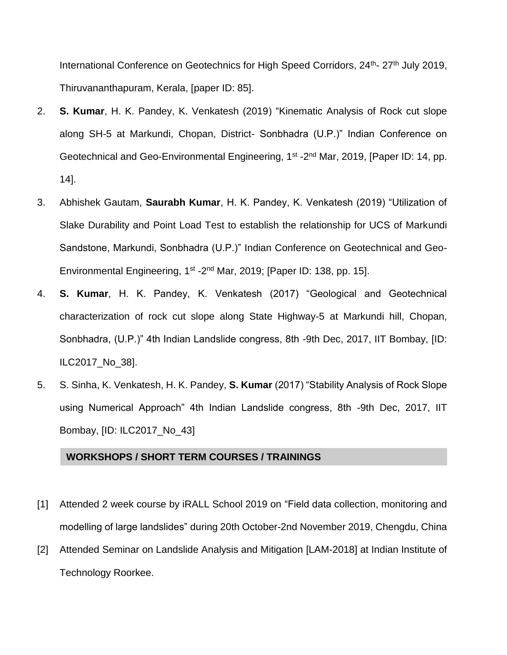International Conference on Geotechnics for High Speed Corridors, 24<sup>th</sup>- 27<sup>th</sup> July 2019, Thiruvananthapuram, Kerala, [paper ID: 85].

- 2. **S. Kumar**, H. K. Pandey, K. Venkatesh (2019) "Kinematic Analysis of Rock cut slope along SH-5 at Markundi, Chopan, District- Sonbhadra (U.P.)" Indian Conference on Geotechnical and Geo-Environmental Engineering, 1<sup>st</sup> -2<sup>nd</sup> Mar, 2019, [Paper ID: 14, pp. 14].
- 3. Abhishek Gautam, **Saurabh Kumar**, H. K. Pandey, K. Venkatesh (2019) "Utilization of Slake Durability and Point Load Test to establish the relationship for UCS of Markundi Sandstone, Markundi, Sonbhadra (U.P.)" Indian Conference on Geotechnical and Geo-Environmental Engineering, 1<sup>st</sup> -2<sup>nd</sup> Mar, 2019; [Paper ID: 138, pp. 15].
- 4. **S. Kumar**, H. K. Pandey, K. Venkatesh (2017) "Geological and Geotechnical characterization of rock cut slope along State Highway-5 at Markundi hill, Chopan, Sonbhadra, (U.P.)" 4th Indian Landslide congress, 8th -9th Dec, 2017, IIT Bombay, [ID: ILC2017\_No\_38].
- 5. S. Sinha, K. Venkatesh, H. K. Pandey, **S. Kumar** (2017) "Stability Analysis of Rock Slope using Numerical Approach" 4th Indian Landslide congress, 8th -9th Dec, 2017, IIT Bombay, [ID: ILC2017\_No\_43]

#### **WORKSHOPS / SHORT TERM COURSES / TRAININGS**

- [1] Attended 2 week course by iRALL School 2019 on "Field data collection, monitoring and modelling of large landslides" during 20th October-2nd November 2019, Chengdu, China
- [2] Attended Seminar on Landslide Analysis and Mitigation [LAM-2018] at Indian Institute of Technology Roorkee.